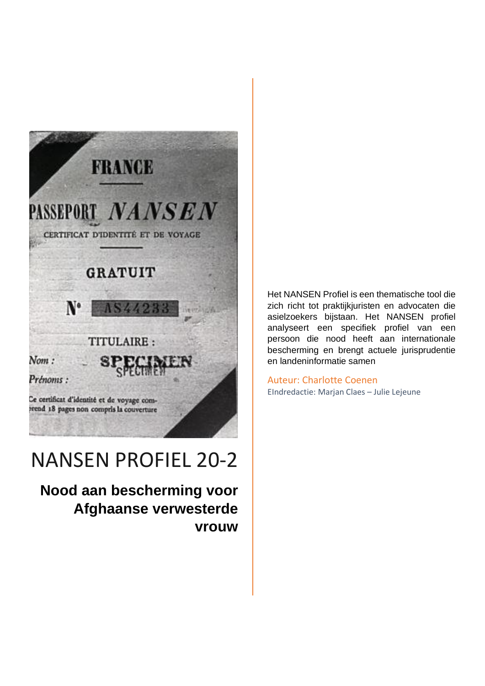

# NANSEN PROFIEL 20-2

**Nood aan bescherming voor Afghaanse verwesterde vrouw** Het NANSEN Profiel is een thematische tool die zich richt tot praktijkjuristen en advocaten die asielzoekers bijstaan. Het NANSEN profiel analyseert een specifiek profiel van een persoon die nood heeft aan internationale bescherming en brengt actuele jurisprudentie en landeninformatie samen

Auteur: Charlotte Coenen EIndredactie: Marjan Claes – Julie Lejeune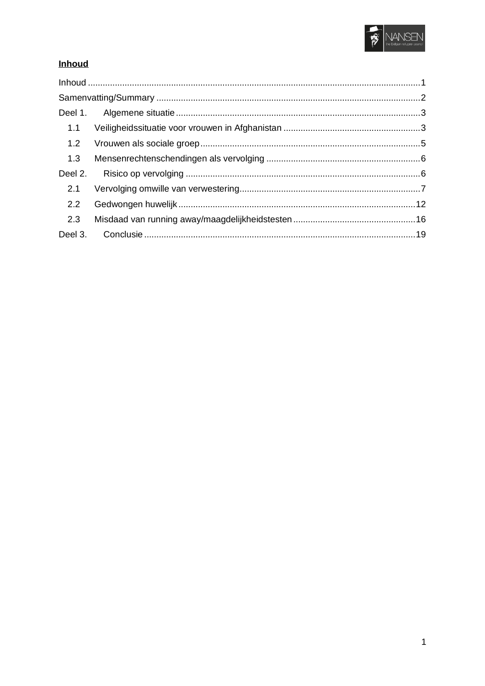

## <span id="page-1-0"></span>Inhoud

| 1.1     |  |  |
|---------|--|--|
| 1.2     |  |  |
| 1.3     |  |  |
| Deel 2. |  |  |
| 2.1     |  |  |
| 2.2     |  |  |
| 2.3     |  |  |
| Deel 3. |  |  |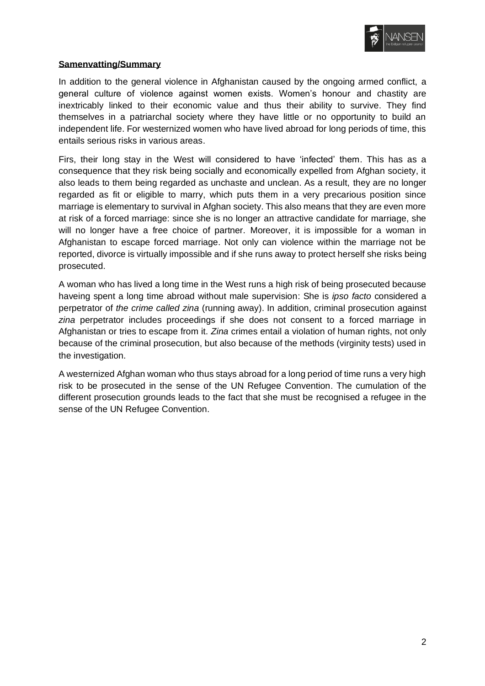

## <span id="page-2-0"></span>**Samenvatting/Summary**

In addition to the general violence in Afghanistan caused by the ongoing armed conflict, a general culture of violence against women exists. Women's honour and chastity are inextricably linked to their economic value and thus their ability to survive. They find themselves in a patriarchal society where they have little or no opportunity to build an independent life. For westernized women who have lived abroad for long periods of time, this entails serious risks in various areas.

Firs, their long stay in the West will considered to have 'infected' them. This has as a consequence that they risk being socially and economically expelled from Afghan society, it also leads to them being regarded as unchaste and unclean. As a result, they are no longer regarded as fit or eligible to marry, which puts them in a very precarious position since marriage is elementary to survival in Afghan society. This also means that they are even more at risk of a forced marriage: since she is no longer an attractive candidate for marriage, she will no longer have a free choice of partner. Moreover, it is impossible for a woman in Afghanistan to escape forced marriage. Not only can violence within the marriage not be reported, divorce is virtually impossible and if she runs away to protect herself she risks being prosecuted.

A woman who has lived a long time in the West runs a high risk of being prosecuted because haveing spent a long time abroad without male supervision: She is *ipso facto* considered a perpetrator of *the crime called zina* (running away). In addition, criminal prosecution against *zina* perpetrator includes proceedings if she does not consent to a forced marriage in Afghanistan or tries to escape from it. *Zina* crimes entail a violation of human rights, not only because of the criminal prosecution, but also because of the methods (virginity tests) used in the investigation.

A westernized Afghan woman who thus stays abroad for a long period of time runs a very high risk to be prosecuted in the sense of the UN Refugee Convention. The cumulation of the different prosecution grounds leads to the fact that she must be recognised a refugee in the sense of the UN Refugee Convention.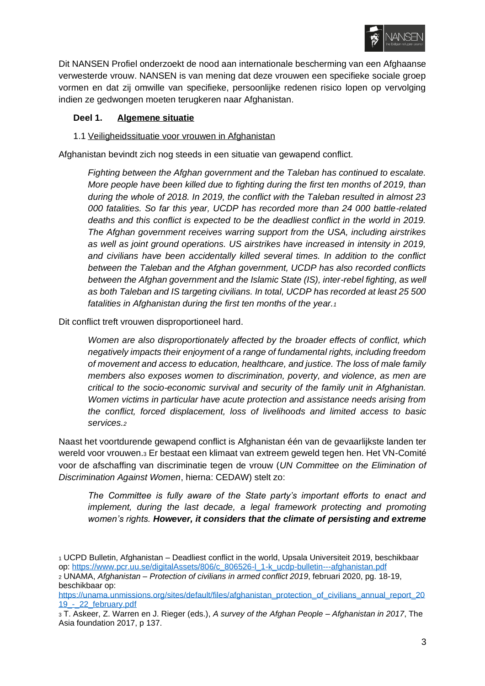

Dit NANSEN Profiel onderzoekt de nood aan internationale bescherming van een Afghaanse verwesterde vrouw. NANSEN is van mening dat deze vrouwen een specifieke sociale groep vormen en dat zij omwille van specifieke, persoonlijke redenen risico lopen op vervolging indien ze gedwongen moeten terugkeren naar Afghanistan.

#### <span id="page-3-0"></span>**Deel 1. Algemene situatie**

## <span id="page-3-1"></span>1.1 Veiligheidssituatie voor vrouwen in Afghanistan

Afghanistan bevindt zich nog steeds in een situatie van gewapend conflict.

*Fighting between the Afghan government and the Taleban has continued to escalate. More people have been killed due to fighting during the first ten months of 2019, than during the whole of 2018. In 2019, the conflict with the Taleban resulted in almost 23 000 fatalities. So far this year, UCDP has recorded more than 24 000 battle-related deaths and this conflict is expected to be the deadliest conflict in the world in 2019. The Afghan government receives warring support from the USA, including airstrikes as well as joint ground operations. US airstrikes have increased in intensity in 2019, and civilians have been accidentally killed several times. In addition to the conflict between the Taleban and the Afghan government, UCDP has also recorded conflicts between the Afghan government and the Islamic State (IS), inter-rebel fighting, as well as both Taleban and IS targeting civilians. In total, UCDP has recorded at least 25 500 fatalities in Afghanistan during the first ten months of the year.<sup>1</sup>*

Dit conflict treft vrouwen disproportioneel hard.

*Women are also disproportionately affected by the broader effects of conflict, which negatively impacts their enjoyment of a range of fundamental rights, including freedom of movement and access to education, healthcare, and justice. The loss of male family members also exposes women to discrimination, poverty, and violence, as men are critical to the socio-economic survival and security of the family unit in Afghanistan. Women victims in particular have acute protection and assistance needs arising from the conflict, forced displacement, loss of livelihoods and limited access to basic services.<sup>2</sup>*

Naast het voortdurende gewapend conflict is Afghanistan één van de gevaarlijkste landen ter wereld voor vrouwen.<sup>3</sup> Er bestaat een klimaat van extreem geweld tegen hen. Het VN-Comité voor de afschaffing van discriminatie tegen de vrouw (*UN Committee on the Elimination of Discrimination Against Women*, hierna: CEDAW) stelt zo:

*The Committee is fully aware of the State party's important efforts to enact and implement, during the last decade, a legal framework protecting and promoting women's rights. However, it considers that the climate of persisting and extreme* 

<sup>1</sup> UCPD Bulletin, Afghanistan – Deadliest conflict in the world, Upsala Universiteit 2019, beschikbaar op: [https://www.pcr.uu.se/digitalAssets/806/c\\_806526-l\\_1-k\\_ucdp-bulletin---afghanistan.pdf](https://www.pcr.uu.se/digitalAssets/806/c_806526-l_1-k_ucdp-bulletin---afghanistan.pdf)

<sup>2</sup> UNAMA, *Afghanistan – Protection of civilians in armed conflict 2019*, februari 2020, pg. 18-19, beschikbaar op:

[https://unama.unmissions.org/sites/default/files/afghanistan\\_protection\\_of\\_civilians\\_annual\\_report\\_20](https://unama.unmissions.org/sites/default/files/afghanistan_protection_of_civilians_annual_report_2019_-_22_february.pdf) [19\\_-\\_22\\_february.pdf](https://unama.unmissions.org/sites/default/files/afghanistan_protection_of_civilians_annual_report_2019_-_22_february.pdf)

<sup>3</sup> T. Askeer, Z. Warren en J. Rieger (eds.), *A survey of the Afghan People – Afghanistan in 2017*, The Asia foundation 2017, p 137.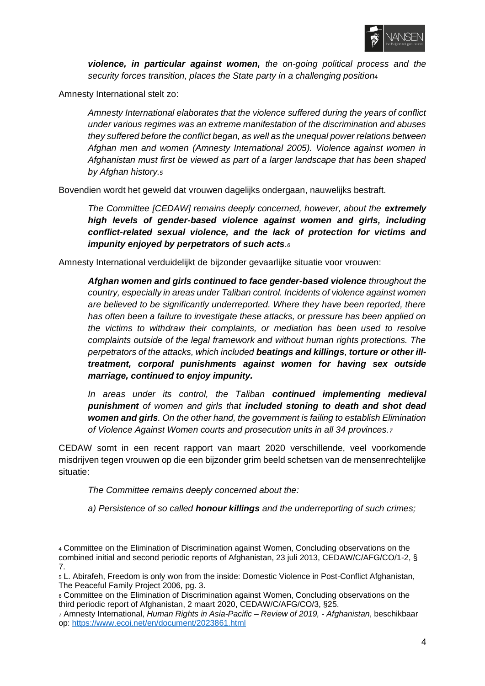

*violence, in particular against women, the on-going political process and the security forces transition, places the State party in a challenging position*<sup>4</sup>

Amnesty International stelt zo:

*Amnesty International elaborates that the violence suffered during the years of conflict under various regimes was an extreme manifestation of the discrimination and abuses they suffered before the conflict began, as well as the unequal power relations between Afghan men and women (Amnesty International 2005). Violence against women in Afghanistan must first be viewed as part of a larger landscape that has been shaped by Afghan history.<sup>5</sup>*

Bovendien wordt het geweld dat vrouwen dagelijks ondergaan, nauwelijks bestraft.

*The Committee [CEDAW] remains deeply concerned, however, about the extremely high levels of gender-based violence against women and girls, including conflict-related sexual violence, and the lack of protection for victims and impunity enjoyed by perpetrators of such acts.<sup>6</sup>*

Amnesty International verduidelijkt de bijzonder gevaarlijke situatie voor vrouwen:

*Afghan women and girls continued to face gender-based violence throughout the country, especially in areas under Taliban control. Incidents of violence against women are believed to be significantly underreported. Where they have been reported, there has often been a failure to investigate these attacks, or pressure has been applied on the victims to withdraw their complaints, or mediation has been used to resolve complaints outside of the legal framework and without human rights protections. The perpetrators of the attacks, which included beatings and killings, torture or other illtreatment, corporal punishments against women for having sex outside marriage, continued to enjoy impunity.*

*In areas under its control, the Taliban continued implementing medieval punishment of women and girls that included stoning to death and shot dead women and girls. On the other hand, the government is failing to establish Elimination of Violence Against Women courts and prosecution units in all 34 provinces.<sup>7</sup>*

CEDAW somt in een recent rapport van maart 2020 verschillende, veel voorkomende misdrijven tegen vrouwen op die een bijzonder grim beeld schetsen van de mensenrechtelijke situatie:

*The Committee remains deeply concerned about the:*

*a) Persistence of so called honour killings and the underreporting of such crimes;*

<sup>4</sup> Committee on the Elimination of Discrimination against Women, Concluding observations on the combined initial and second periodic reports of Afghanistan, 23 juli 2013, CEDAW/C/AFG/CO/1-2, § 7.

<sup>5</sup> L. Abirafeh, Freedom is only won from the inside: Domestic Violence in Post-Conflict Afghanistan, The Peaceful Family Project 2006, pg. 3.

<sup>6</sup> Committee on the Elimination of Discrimination against Women, Concluding observations on the third periodic report of Afghanistan, 2 maart 2020, CEDAW/C/AFG/CO/3, §25.

<sup>7</sup> Amnesty International, *Human Rights in Asia-Pacific – Review of 2019, - Afghanistan*, beschikbaar op:<https://www.ecoi.net/en/document/2023861.html>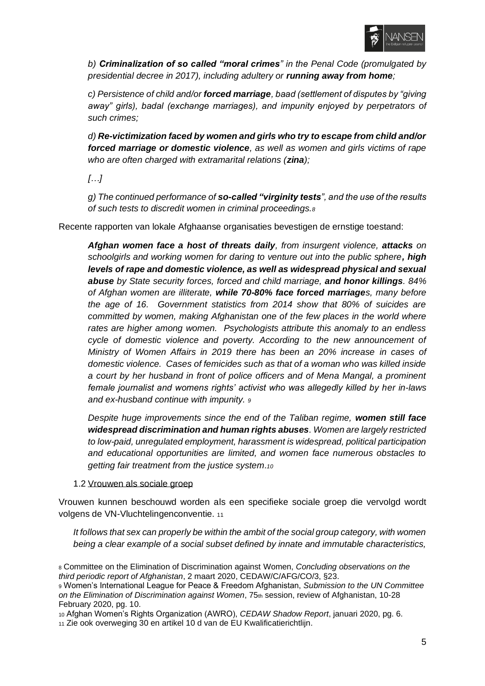

*b) Criminalization of so called "moral crimes" in the Penal Code (promulgated by presidential decree in 2017), including adultery or running away from home;*

*c) Persistence of child and/or forced marriage, baad (settlement of disputes by "giving away" girls), badal (exchange marriages), and impunity enjoyed by perpetrators of such crimes;*

*d) Re-victimization faced by women and girls who try to escape from child and/or forced marriage or domestic violence, as well as women and girls victims of rape who are often charged with extramarital relations (zina);*

*[…]*

*g) The continued performance of so-called "virginity tests", and the use of the results of such tests to discredit women in criminal proceedings.<sup>8</sup>*

Recente rapporten van lokale Afghaanse organisaties bevestigen de ernstige toestand:

*Afghan women face a host of threats daily, from insurgent violence, attacks on schoolgirls and working women for daring to venture out into the public sphere, high levels of rape and domestic violence, as well as widespread physical and sexual abuse by State security forces, forced and child marriage, and honor killings. 84% of Afghan women are illiterate, while 70-80% face forced marriages, many before the age of 16. Government statistics from 2014 show that 80% of suicides are committed by women, making Afghanistan one of the few places in the world where rates are higher among women. Psychologists attribute this anomaly to an endless cycle of domestic violence and poverty. According to the new announcement of Ministry of Women Affairs in 2019 there has been an 20% increase in cases of domestic violence. Cases of femicides such as that of a woman who was killed inside a court by her husband in front of police officers and of Mena Mangal, a prominent female journalist and womens rights' activist who was allegedly killed by her in-laws and ex-husband continue with impunity. <sup>9</sup>*

*Despite huge improvements since the end of the Taliban regime, women still face widespread discrimination and human rights abuses. Women are largely restricted to low-paid, unregulated employment, harassment is widespread, political participation and educational opportunities are limited, and women face numerous obstacles to getting fair treatment from the justice system.<sup>10</sup>*

<span id="page-5-0"></span>1.2 Vrouwen als sociale groep

Vrouwen kunnen beschouwd worden als een specifieke sociale groep die vervolgd wordt volgens de VN-Vluchtelingenconventie. <sup>11</sup>

*It follows that sex can properly be within the ambit of the social group category, with women being a clear example of a social subset defined by innate and immutable characteristics,* 

<sup>8</sup> Committee on the Elimination of Discrimination against Women, *Concluding observations on the third periodic report of Afghanistan*, 2 maart 2020, CEDAW/C/AFG/CO/3, §23.

<sup>9</sup> Women's International League for Peace & Freedom Afghanistan, *Submission to the UN Committee on the Elimination of Discrimination against Women, 75th session, review of Afghanistan, 10-28* February 2020, pg. 10.

<sup>10</sup> Afghan Women's Rights Organization (AWRO), *CEDAW Shadow Report*, januari 2020, pg. 6.

<sup>11</sup> Zie ook overweging 30 en artikel 10 d van de EU Kwalificatierichtlijn.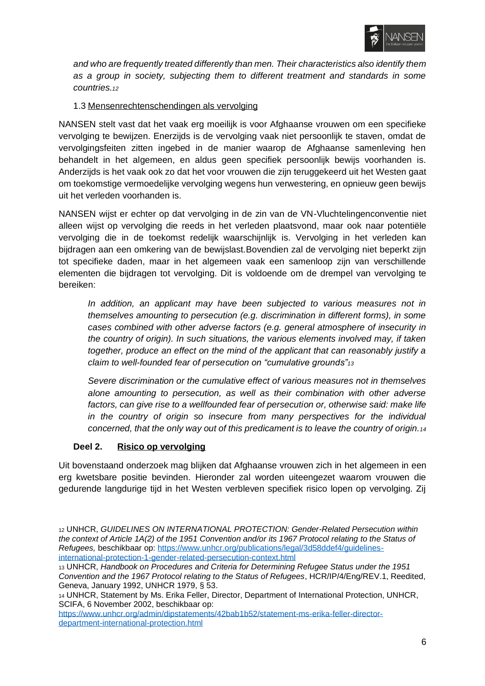

*and who are frequently treated differently than men. Their characteristics also identify them as a group in society, subjecting them to different treatment and standards in some countries.<sup>12</sup>*

## <span id="page-6-0"></span>1.3 Mensenrechtenschendingen als vervolging

NANSEN stelt vast dat het vaak erg moeilijk is voor Afghaanse vrouwen om een specifieke vervolging te bewijzen. Enerzijds is de vervolging vaak niet persoonlijk te staven, omdat de vervolgingsfeiten zitten ingebed in de manier waarop de Afghaanse samenleving hen behandelt in het algemeen, en aldus geen specifiek persoonlijk bewijs voorhanden is. Anderzijds is het vaak ook zo dat het voor vrouwen die zijn teruggekeerd uit het Westen gaat om toekomstige vermoedelijke vervolging wegens hun verwestering, en opnieuw geen bewijs uit het verleden voorhanden is.

NANSEN wijst er echter op dat vervolging in de zin van de VN-Vluchtelingenconventie niet alleen wijst op vervolging die reeds in het verleden plaatsvond, maar ook naar potentiële vervolging die in de toekomst redelijk waarschijnlijk is. Vervolging in het verleden kan bijdragen aan een omkering van de bewijslast.Bovendien zal de vervolging niet beperkt zijn tot specifieke daden, maar in het algemeen vaak een samenloop zijn van verschillende elementen die bijdragen tot vervolging. Dit is voldoende om de drempel van vervolging te bereiken:

*In addition, an applicant may have been subjected to various measures not in themselves amounting to persecution (e.g. discrimination in different forms), in some cases combined with other adverse factors (e.g. general atmosphere of insecurity in the country of origin). In such situations, the various elements involved may, if taken together, produce an effect on the mind of the applicant that can reasonably justify a claim to well-founded fear of persecution on "cumulative grounds"<sup>13</sup>*

*Severe discrimination or the cumulative effect of various measures not in themselves alone amounting to persecution, as well as their combination with other adverse*  factors, can give rise to a wellfounded fear of persecution or, otherwise said: make life *in the country of origin so insecure from many perspectives for the individual concerned, that the only way out of this predicament is to leave the country of origin.<sup>14</sup>*

#### <span id="page-6-1"></span>**Deel 2. Risico op vervolging**

Uit bovenstaand onderzoek mag blijken dat Afghaanse vrouwen zich in het algemeen in een erg kwetsbare positie bevinden. Hieronder zal worden uiteengezet waarom vrouwen die gedurende langdurige tijd in het Westen verbleven specifiek risico lopen op vervolging. Zij

<sup>12</sup> UNHCR, *GUIDELINES ON INTERNATIONAL PROTECTION: Gender-Related Persecution within the context of Article 1A(2) of the 1951 Convention and/or its 1967 Protocol relating to the Status of Refugees,* beschikbaar op: [https://www.unhcr.org/publications/legal/3d58ddef4/guidelines](https://www.unhcr.org/publications/legal/3d58ddef4/guidelines-international-protection-1-gender-related-persecution-context.html)[international-protection-1-gender-related-persecution-context.html](https://www.unhcr.org/publications/legal/3d58ddef4/guidelines-international-protection-1-gender-related-persecution-context.html)

<sup>13</sup> UNHCR, *Handbook on Procedures and Criteria for Determining Refugee Status under the 1951 Convention and the 1967 Protocol relating to the Status of Refugees*, HCR/IP/4/Eng/REV.1, Reedited, Geneva, January 1992, UNHCR 1979, § 53.

<sup>14</sup> UNHCR, Statement by Ms. Erika Feller, Director, Department of International Protection, UNHCR, SCIFA, 6 November 2002, beschikbaar op:

[https://www.unhcr.org/admin/dipstatements/42bab1b52/statement-ms-erika-feller-director](https://www.unhcr.org/admin/dipstatements/42bab1b52/statement-ms-erika-feller-director-department-international-protection.html)[department-international-protection.html](https://www.unhcr.org/admin/dipstatements/42bab1b52/statement-ms-erika-feller-director-department-international-protection.html)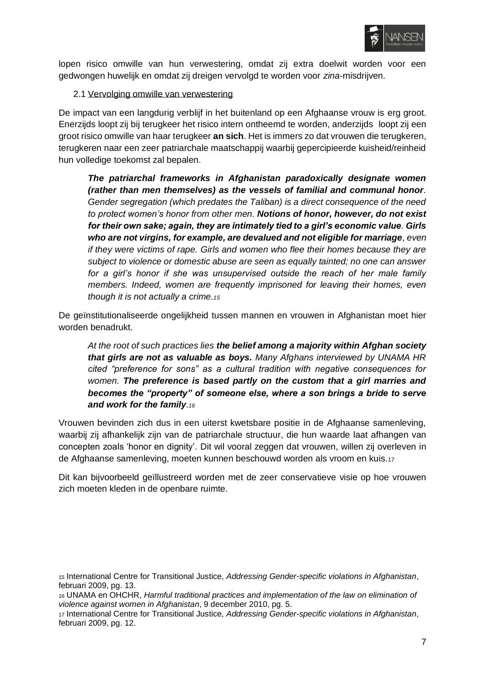

lopen risico omwille van hun verwestering, omdat zij extra doelwit worden voor een gedwongen huwelijk en omdat zij dreigen vervolgd te worden voor *zina-*misdrijven.

#### <span id="page-7-0"></span>2.1 Vervolging omwille van verwestering

De impact van een langdurig verblijf in het buitenland op een Afghaanse vrouw is erg groot. Enerzijds loopt zij bij terugkeer het risico intern ontheemd te worden, anderzijds loopt zij een groot risico omwille van haar terugkeer **an sich**. Het is immers zo dat vrouwen die terugkeren, terugkeren naar een zeer patriarchale maatschappij waarbij gepercipieerde kuisheid/reinheid hun volledige toekomst zal bepalen.

*The patriarchal frameworks in Afghanistan paradoxically designate women (rather than men themselves) as the vessels of familial and communal honor. Gender segregation (which predates the Taliban) is a direct consequence of the need to protect women's honor from other men. Notions of honor, however, do not exist for their own sake; again, they are intimately tied to a girl's economic value. Girls who are not virgins, for example, are devalued and not eligible for marriage, even if they were victims of rape. Girls and women who flee their homes because they are subject to violence or domestic abuse are seen as equally tainted; no one can answer for a girl's honor if she was unsupervised outside the reach of her male family members. Indeed, women are frequently imprisoned for leaving their homes, even though it is not actually a crime.<sup>15</sup>*

De geïnstitutionaliseerde ongelijkheid tussen mannen en vrouwen in Afghanistan moet hier worden benadrukt.

*At the root of such practices lies the belief among a majority within Afghan society that girls are not as valuable as boys. Many Afghans interviewed by UNAMA HR cited "preference for sons" as a cultural tradition with negative consequences for women. The preference is based partly on the custom that a girl marries and becomes the "property" of someone else, where a son brings a bride to serve and work for the family.<sup>16</sup>*

Vrouwen bevinden zich dus in een uiterst kwetsbare positie in de Afghaanse samenleving, waarbij zij afhankelijk zijn van de patriarchale structuur, die hun waarde laat afhangen van concepten zoals 'honor en dignity'. Dit wil vooral zeggen dat vrouwen, willen zij overleven in de Afghaanse samenleving, moeten kunnen beschouwd worden als vroom en kuis.<sup>17</sup>

Dit kan bijvoorbeeld geïllustreerd worden met de zeer conservatieve visie op hoe vrouwen zich moeten kleden in de openbare ruimte.

<sup>15</sup> International Centre for Transitional Justice, *Addressing Gender-specific violations in Afghanistan*, februari 2009, pg. 13.

<sup>16</sup> UNAMA en OHCHR, *Harmful traditional practices and implementation of the law on elimination of violence against women in Afghanistan*, 9 december 2010, pg. 5.

<sup>17</sup> International Centre for Transitional Justice, *Addressing Gender-specific violations in Afghanistan*, februari 2009, pg. 12.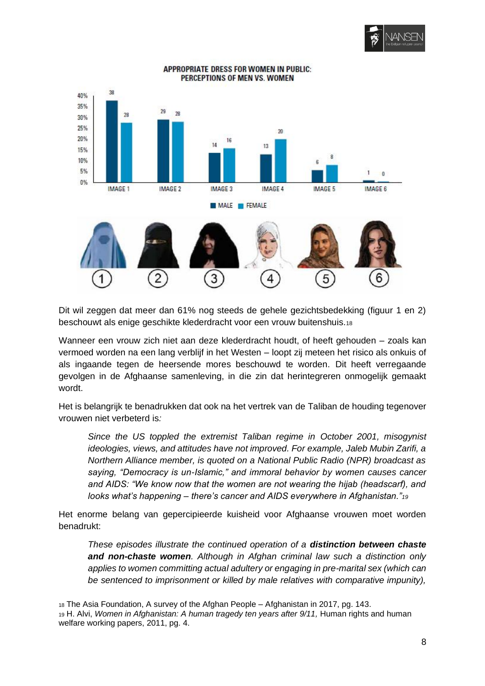



**APPROPRIATE DRESS FOR WOMEN IN PUBLIC:** PERCEPTIONS OF MEN VS. WOMEN

Dit wil zeggen dat meer dan 61% nog steeds de gehele gezichtsbedekking (figuur 1 en 2) beschouwt als enige geschikte klederdracht voor een vrouw buitenshuis.<sup>18</sup>

Wanneer een vrouw zich niet aan deze klederdracht houdt, of heeft gehouden – zoals kan vermoed worden na een lang verblijf in het Westen – loopt zij meteen het risico als onkuis of als ingaande tegen de heersende mores beschouwd te worden. Dit heeft verregaande gevolgen in de Afghaanse samenleving, in die zin dat herintegreren onmogelijk gemaakt wordt.

Het is belangrijk te benadrukken dat ook na het vertrek van de Taliban de houding tegenover vrouwen niet verbeterd is*:* 

*Since the US toppled the extremist Taliban regime in October 2001, misogynist ideologies, views, and attitudes have not improved. For example, Jaleb Mubin Zarifi, a Northern Alliance member, is quoted on a National Public Radio (NPR) broadcast as saying, "Democracy is un-Islamic," and immoral behavior by women causes cancer and AIDS: "We know now that the women are not wearing the hijab (headscarf), and looks what's happening – there's cancer and AIDS everywhere in Afghanistan."<sup>19</sup>*

Het enorme belang van gepercipieerde kuisheid voor Afghaanse vrouwen moet worden benadrukt:

*These episodes illustrate the continued operation of a distinction between chaste and non-chaste women. Although in Afghan criminal law such a distinction only applies to women committing actual adultery or engaging in pre-marital sex (which can*  be sentenced to imprisonment or killed by male relatives with comparative impunity),

<sup>18</sup> The Asia Foundation, A survey of the Afghan People – Afghanistan in 2017, pg. 143.

<sup>19</sup> H. Alvi, *Women in Afghanistan: A human tragedy ten years after 9/11,* Human rights and human welfare working papers, 2011, pg. 4.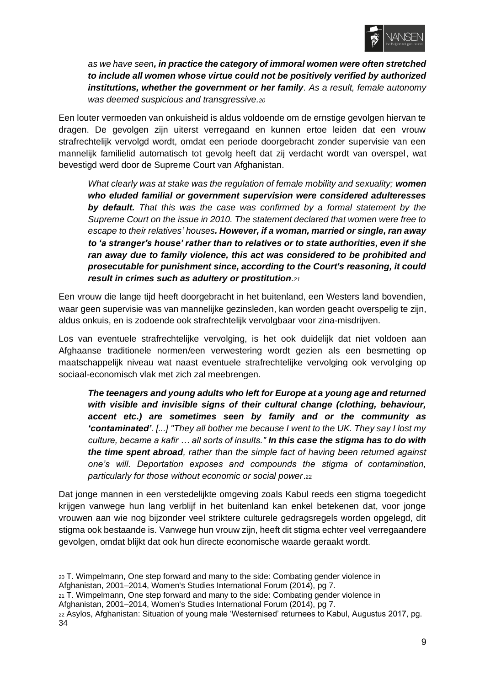

*as we have seen, in practice the category of immoral women were often stretched to include all women whose virtue could not be positively verified by authorized institutions, whether the government or her family. As a result, female autonomy was deemed suspicious and transgressive.<sup>20</sup>*

Een louter vermoeden van onkuisheid is aldus voldoende om de ernstige gevolgen hiervan te dragen. De gevolgen zijn uiterst verregaand en kunnen ertoe leiden dat een vrouw strafrechtelijk vervolgd wordt, omdat een periode doorgebracht zonder supervisie van een mannelijk familielid automatisch tot gevolg heeft dat zij verdacht wordt van overspel, wat bevestigd werd door de Supreme Court van Afghanistan.

*What clearly was at stake was the regulation of female mobility and sexuality; women who eluded familial or government supervision were considered adulteresses by default. That this was the case was confirmed by a formal statement by the Supreme Court on the issue in 2010. The statement declared that women were free to escape to their relatives' houses. However, if a woman, married or single, ran away to 'a stranger's house' rather than to relatives or to state authorities, even if she ran away due to family violence, this act was considered to be prohibited and prosecutable for punishment since, according to the Court's reasoning, it could result in crimes such as adultery or prostitution.<sup>21</sup>*

Een vrouw die lange tijd heeft doorgebracht in het buitenland, een Westers land bovendien, waar geen supervisie was van mannelijke gezinsleden, kan worden geacht overspelig te zijn, aldus onkuis, en is zodoende ook strafrechtelijk vervolgbaar voor zina-misdrijven.

Los van eventuele strafrechtelijke vervolging, is het ook duidelijk dat niet voldoen aan Afghaanse traditionele normen/een verwestering wordt gezien als een besmetting op maatschappelijk niveau wat naast eventuele strafrechtelijke vervolging ook vervolging op sociaal-economisch vlak met zich zal meebrengen.

*The teenagers and young adults who left for Europe at a young age and returned with visible and invisible signs of their cultural change (clothing, behaviour, accent etc.) are sometimes seen by family and or the community as 'contaminated'. [...] "They all bother me because I went to the UK. They say I lost my culture, became a kafir … all sorts of insults." In this case the stigma has to do with the time spent abroad, rather than the simple fact of having been returned against one's will. Deportation exposes and compounds the stigma of contamination, particularly for those without economic or social power*.<sup>22</sup>

Dat jonge mannen in een verstedelijkte omgeving zoals Kabul reeds een stigma toegedicht krijgen vanwege hun lang verblijf in het buitenland kan enkel betekenen dat, voor jonge vrouwen aan wie nog bijzonder veel striktere culturele gedragsregels worden opgelegd, dit stigma ook bestaande is. Vanwege hun vrouw zijn, heeft dit stigma echter veel verregaandere gevolgen, omdat blijkt dat ook hun directe economische waarde geraakt wordt.

- <sup>20</sup> T. Wimpelmann, One step forward and many to the side: Combating gender violence in Afghanistan, 2001–2014, Women's Studies International Forum (2014), pg 7.
- $21$  T. Wimpelmann, One step forward and many to the side: Combating gender violence in Afghanistan, 2001–2014, Women's Studies International Forum (2014), pg 7.
- <sup>22</sup> Asylos, Afghanistan: Situation of young male 'Westernised' returnees to Kabul, Augustus 2017, pg. 34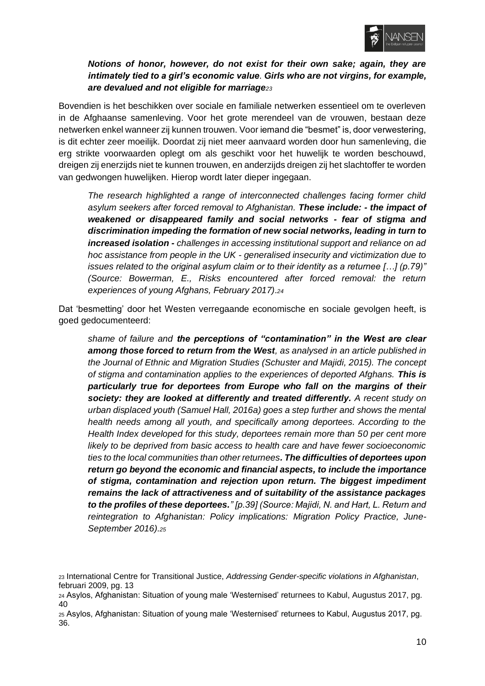

*Notions of honor, however, do not exist for their own sake; again, they are intimately tied to a girl's economic value. Girls who are not virgins, for example, are devalued and not eligible for marriage<sup>23</sup>*

Bovendien is het beschikken over sociale en familiale netwerken essentieel om te overleven in de Afghaanse samenleving. Voor het grote merendeel van de vrouwen, bestaan deze netwerken enkel wanneer zij kunnen trouwen. Voor iemand die "besmet" is, door verwestering, is dit echter zeer moeilijk. Doordat zij niet meer aanvaard worden door hun samenleving, die erg strikte voorwaarden oplegt om als geschikt voor het huwelijk te worden beschouwd, dreigen zij enerzijds niet te kunnen trouwen, en anderzijds dreigen zij het slachtoffer te worden van gedwongen huwelijken. Hierop wordt later dieper ingegaan.

*The research highlighted a range of interconnected challenges facing former child asylum seekers after forced removal to Afghanistan. These include: - the impact of weakened or disappeared family and social networks - fear of stigma and discrimination impeding the formation of new social networks, leading in turn to increased isolation - challenges in accessing institutional support and reliance on ad hoc assistance from people in the UK - generalised insecurity and victimization due to issues related to the original asylum claim or to their identity as a returnee […] (p.79)" (Source: Bowerman, E., Risks encountered after forced removal: the return experiences of young Afghans, February 2017).<sup>24</sup>*

Dat 'besmetting' door het Westen verregaande economische en sociale gevolgen heeft, is goed gedocumenteerd:

*shame of failure and the perceptions of "contamination" in the West are clear among those forced to return from the West, as analysed in an article published in the Journal of Ethnic and Migration Studies (Schuster and Majidi, 2015). The concept of stigma and contamination applies to the experiences of deported Afghans. This is particularly true for deportees from Europe who fall on the margins of their society: they are looked at differently and treated differently. A recent study on urban displaced youth (Samuel Hall, 2016a) goes a step further and shows the mental health needs among all youth, and specifically among deportees. According to the Health Index developed for this study, deportees remain more than 50 per cent more likely to be deprived from basic access to health care and have fewer socioeconomic ties to the local communities than other returnees. The difficulties of deportees upon return go beyond the economic and financial aspects, to include the importance of stigma, contamination and rejection upon return. The biggest impediment remains the lack of attractiveness and of suitability of the assistance packages to the profiles of these deportees." [p.39] (Source: Majidi, N. and Hart, L. Return and reintegration to Afghanistan: Policy implications: Migration Policy Practice, June-September 2016).<sup>25</sup>*

<sup>23</sup> International Centre for Transitional Justice, *Addressing Gender-specific violations in Afghanistan*, februari 2009, pg. 13

<sup>24</sup> Asylos, Afghanistan: Situation of young male 'Westernised' returnees to Kabul, Augustus 2017, pg.  $40$ 

<sup>25</sup> Asylos, Afghanistan: Situation of young male 'Westernised' returnees to Kabul, Augustus 2017, pg. 36.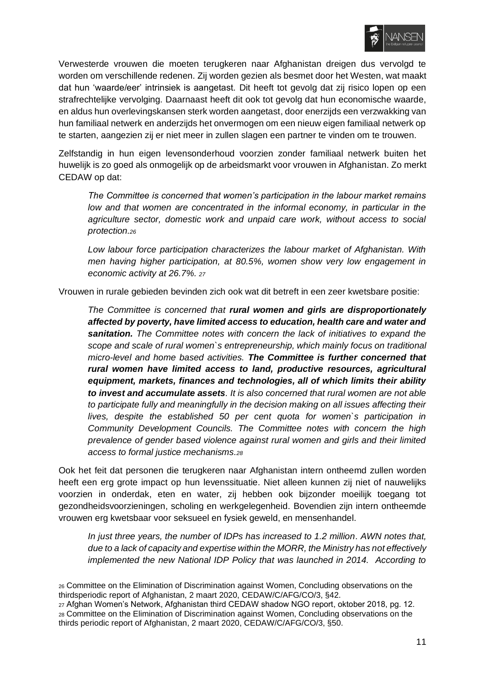

Verwesterde vrouwen die moeten terugkeren naar Afghanistan dreigen dus vervolgd te worden om verschillende redenen. Zij worden gezien als besmet door het Westen, wat maakt dat hun 'waarde/eer' intrinsiek is aangetast. Dit heeft tot gevolg dat zij risico lopen op een strafrechtelijke vervolging. Daarnaast heeft dit ook tot gevolg dat hun economische waarde, en aldus hun overlevingskansen sterk worden aangetast, door enerzijds een verzwakking van hun familiaal netwerk en anderzijds het onvermogen om een nieuw eigen familiaal netwerk op te starten, aangezien zij er niet meer in zullen slagen een partner te vinden om te trouwen.

Zelfstandig in hun eigen levensonderhoud voorzien zonder familiaal netwerk buiten het huwelijk is zo goed als onmogelijk op de arbeidsmarkt voor vrouwen in Afghanistan. Zo merkt CEDAW op dat:

*The Committee is concerned that women's participation in the labour market remains low and that women are concentrated in the informal economy, in particular in the agriculture sector, domestic work and unpaid care work, without access to social protection.<sup>26</sup>*

*Low labour force participation characterizes the labour market of Afghanistan. With men having higher participation, at 80.5%, women show very low engagement in economic activity at 26.7%. <sup>27</sup>*

Vrouwen in rurale gebieden bevinden zich ook wat dit betreft in een zeer kwetsbare positie:

*The Committee is concerned that rural women and girls are disproportionately affected by poverty, have limited access to education, health care and water and sanitation. The Committee notes with concern the lack of initiatives to expand the scope and scale of rural women`s entrepreneurship, which mainly focus on traditional micro-level and home based activities. The Committee is further concerned that rural women have limited access to land, productive resources, agricultural equipment, markets, finances and technologies, all of which limits their ability to invest and accumulate assets. It is also concerned that rural women are not able to participate fully and meaningfully in the decision making on all issues affecting their lives, despite the established 50 per cent quota for women`s participation in Community Development Councils. The Committee notes with concern the high prevalence of gender based violence against rural women and girls and their limited access to formal justice mechanisms.<sup>28</sup>*

Ook het feit dat personen die terugkeren naar Afghanistan intern ontheemd zullen worden heeft een erg grote impact op hun levenssituatie. Niet alleen kunnen zij niet of nauwelijks voorzien in onderdak, eten en water, zij hebben ook bijzonder moeilijk toegang tot gezondheidsvoorzieningen, scholing en werkgelegenheid. Bovendien zijn intern ontheemde vrouwen erg kwetsbaar voor seksueel en fysiek geweld, en mensenhandel.

*In just three years, the number of IDPs has increased to 1.2 million. AWN notes that, due to a lack of capacity and expertise within the MORR, the Ministry has not effectively implemented the new National IDP Policy that was launched in 2014. According to* 

<sup>26</sup> Committee on the Elimination of Discrimination against Women, Concluding observations on the thirdsperiodic report of Afghanistan, 2 maart 2020, CEDAW/C/AFG/CO/3, §42.

<sup>27</sup> Afghan Women's Network, Afghanistan third CEDAW shadow NGO report, oktober 2018, pg. 12. <sup>28</sup> Committee on the Elimination of Discrimination against Women, Concluding observations on the thirds periodic report of Afghanistan, 2 maart 2020, CEDAW/C/AFG/CO/3, §50.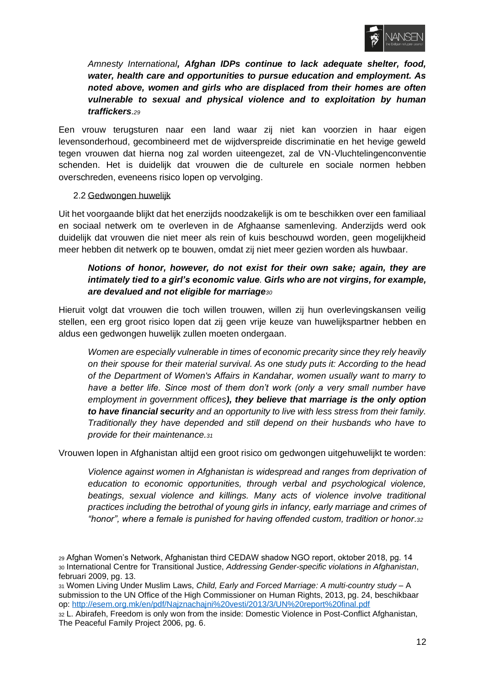

*Amnesty International, Afghan IDPs continue to lack adequate shelter, food, water, health care and opportunities to pursue education and employment. As noted above, women and girls who are displaced from their homes are often vulnerable to sexual and physical violence and to exploitation by human traffickers.<sup>29</sup>*

Een vrouw terugsturen naar een land waar zij niet kan voorzien in haar eigen levensonderhoud, gecombineerd met de wijdverspreide discriminatie en het hevige geweld tegen vrouwen dat hierna nog zal worden uiteengezet, zal de VN-Vluchtelingenconventie schenden. Het is duidelijk dat vrouwen die de culturele en sociale normen hebben overschreden, eveneens risico lopen op vervolging.

#### <span id="page-12-0"></span>2.2 Gedwongen huwelijk

Uit het voorgaande blijkt dat het enerzijds noodzakelijk is om te beschikken over een familiaal en sociaal netwerk om te overleven in de Afghaanse samenleving. Anderzijds werd ook duidelijk dat vrouwen die niet meer als rein of kuis beschouwd worden, geen mogelijkheid meer hebben dit netwerk op te bouwen, omdat zij niet meer gezien worden als huwbaar.

## *Notions of honor, however, do not exist for their own sake; again, they are intimately tied to a girl's economic value. Girls who are not virgins, for example, are devalued and not eligible for marriage<sup>30</sup>*

Hieruit volgt dat vrouwen die toch willen trouwen, willen zij hun overlevingskansen veilig stellen, een erg groot risico lopen dat zij geen vrije keuze van huwelijkspartner hebben en aldus een gedwongen huwelijk zullen moeten ondergaan.

*Women are especially vulnerable in times of economic precarity since they rely heavily on their spouse for their material survival. As one study puts it: According to the head of the Department of Women's Affairs in Kandahar, women usually want to marry to have a better life. Since most of them don't work (only a very small number have employment in government offices), they believe that marriage is the only option to have financial security and an opportunity to live with less stress from their family. Traditionally they have depended and still depend on their husbands who have to provide for their maintenance.<sup>31</sup>*

Vrouwen lopen in Afghanistan altijd een groot risico om gedwongen uitgehuwelijkt te worden:

*Violence against women in Afghanistan is widespread and ranges from deprivation of education to economic opportunities, through verbal and psychological violence, beatings, sexual violence and killings. Many acts of violence involve traditional practices including the betrothal of young girls in infancy, early marriage and crimes of "honor", where a female is punished for having offended custom, tradition or honor.<sup>32</sup>*

<sup>29</sup> Afghan Women's Network, Afghanistan third CEDAW shadow NGO report, oktober 2018, pg. 14 <sup>30</sup> International Centre for Transitional Justice, *Addressing Gender-specific violations in Afghanistan*, februari 2009, pg. 13.

<sup>31</sup> Women Living Under Muslim Laws, *Child, Early and Forced Marriage: A multi-country study* – A submission to the UN Office of the High Commissioner on Human Rights, 2013, pg. 24, beschikbaar op:<http://esem.org.mk/en/pdf/Najznachajni%20vesti/2013/3/UN%20report%20final.pdf>

<sup>32</sup> L. Abirafeh, Freedom is only won from the inside: Domestic Violence in Post-Conflict Afghanistan, The Peaceful Family Project 2006, pg. 6.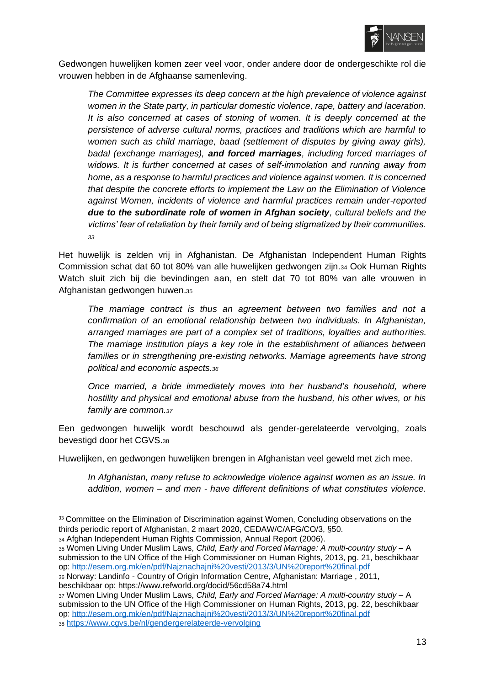

Gedwongen huwelijken komen zeer veel voor, onder andere door de ondergeschikte rol die vrouwen hebben in de Afghaanse samenleving.

*The Committee expresses its deep concern at the high prevalence of violence against women in the State party, in particular domestic violence, rape, battery and laceration. It is also concerned at cases of stoning of women. It is deeply concerned at the persistence of adverse cultural norms, practices and traditions which are harmful to women such as child marriage, baad (settlement of disputes by giving away girls), badal (exchange marriages), and forced marriages, including forced marriages of widows. It is further concerned at cases of self-immolation and running away from home, as a response to harmful practices and violence against women. It is concerned that despite the concrete efforts to implement the Law on the Elimination of Violence against Women, incidents of violence and harmful practices remain under-reported due to the subordinate role of women in Afghan society, cultural beliefs and the victims' fear of retaliation by their family and of being stigmatized by their communities. 33*

Het huwelijk is zelden vrij in Afghanistan. De Afghanistan Independent Human Rights Commission schat dat 60 tot 80% van alle huwelijken gedwongen zijn.<sup>34</sup> Ook Human Rights Watch sluit zich bij die bevindingen aan, en stelt dat 70 tot 80% van alle vrouwen in Afghanistan gedwongen huwen.<sup>35</sup>

*The marriage contract is thus an agreement between two families and not a confirmation of an emotional relationship between two individuals. In Afghanistan, arranged marriages are part of a complex set of traditions, loyalties and authorities. The marriage institution plays a key role in the establishment of alliances between*  families or in strengthening pre-existing networks. Marriage agreements have strong *political and economic aspects.<sup>36</sup>*

*Once married, a bride immediately moves into her husband's household, where hostility and physical and emotional abuse from the husband, his other wives, or his family are common.<sup>37</sup>*

Een gedwongen huwelijk wordt beschouwd als gender-gerelateerde vervolging, zoals bevestigd door het CGVS.<sup>38</sup>

Huwelijken, en gedwongen huwelijken brengen in Afghanistan veel geweld met zich mee.

*In Afghanistan, many refuse to acknowledge violence against women as an issue. In addition, women – and men - have different definitions of what constitutes violence.* 

<sup>34</sup> Afghan Independent Human Rights Commission, Annual Report (2006).

<sup>35</sup> Women Living Under Muslim Laws, *Child, Early and Forced Marriage: A multi-country study* – A submission to the UN Office of the High Commissioner on Human Rights, 2013, pg. 21, beschikbaar op:<http://esem.org.mk/en/pdf/Najznachajni%20vesti/2013/3/UN%20report%20final.pdf>

<sup>36</sup> Norway: Landinfo - Country of Origin Information Centre, Afghanistan: Marriage , 2011, beschikbaar op: https://www.refworld.org/docid/56cd58a74.html

<sup>37</sup> Women Living Under Muslim Laws, *Child, Early and Forced Marriage: A multi-country study* – A submission to the UN Office of the High Commissioner on Human Rights, 2013, pg. 22, beschikbaar op:<http://esem.org.mk/en/pdf/Najznachajni%20vesti/2013/3/UN%20report%20final.pdf> <sup>38</sup> <https://www.cgvs.be/nl/gendergerelateerde-vervolging>

<sup>&</sup>lt;sup>33</sup> Committee on the Elimination of Discrimination against Women, Concluding observations on the thirds periodic report of Afghanistan, 2 maart 2020, CEDAW/C/AFG/CO/3, §50.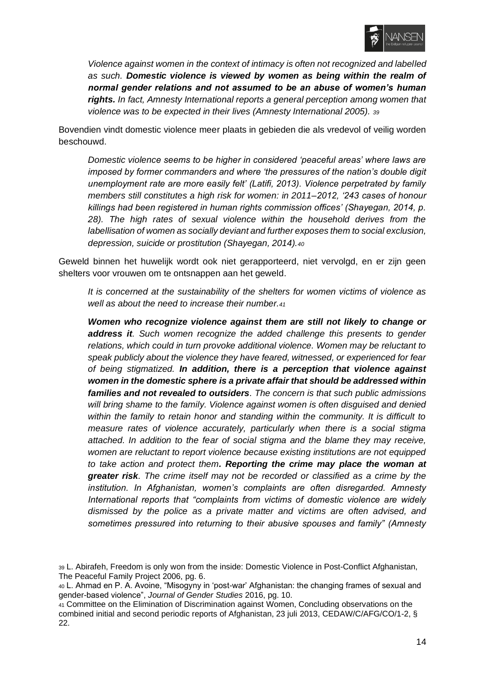

*Violence against women in the context of intimacy is often not recognized and labelled as such. Domestic violence is viewed by women as being within the realm of normal gender relations and not assumed to be an abuse of women's human rights. In fact, Amnesty International reports a general perception among women that violence was to be expected in their lives (Amnesty International 2005). <sup>39</sup>*

Bovendien vindt domestic violence meer plaats in gebieden die als vredevol of veilig worden beschouwd.

*Domestic violence seems to be higher in considered 'peaceful areas' where laws are imposed by former commanders and where 'the pressures of the nation's double digit unemployment rate are more easily felt' (Latifi, 2013). Violence perpetrated by family members still constitutes a high risk for women: in 2011–2012, '243 cases of honour killings had been registered in human rights commission offices' (Shayegan, 2014, p. 28). The high rates of sexual violence within the household derives from the labellisation of women as socially deviant and further exposes them to social exclusion, depression, suicide or prostitution (Shayegan, 2014).<sup>40</sup>*

Geweld binnen het huwelijk wordt ook niet gerapporteerd, niet vervolgd, en er zijn geen shelters voor vrouwen om te ontsnappen aan het geweld.

*It is concerned at the sustainability of the shelters for women victims of violence as well as about the need to increase their number.<sup>41</sup>*

*Women who recognize violence against them are still not likely to change or address it. Such women recognize the added challenge this presents to gender relations, which could in turn provoke additional violence. Women may be reluctant to speak publicly about the violence they have feared, witnessed, or experienced for fear of being stigmatized. In addition, there is a perception that violence against women in the domestic sphere is a private affair that should be addressed within families and not revealed to outsiders. The concern is that such public admissions*  will bring shame to the family. Violence against women is often disguised and denied *within the family to retain honor and standing within the community. It is difficult to measure rates of violence accurately, particularly when there is a social stigma attached. In addition to the fear of social stigma and the blame they may receive, women are reluctant to report violence because existing institutions are not equipped to take action and protect them. Reporting the crime may place the woman at greater risk. The crime itself may not be recorded or classified as a crime by the institution. In Afghanistan, women's complaints are often disregarded. Amnesty International reports that "complaints from victims of domestic violence are widely dismissed by the police as a private matter and victims are often advised, and sometimes pressured into returning to their abusive spouses and family" (Amnesty* 

<sup>39</sup> L. Abirafeh, Freedom is only won from the inside: Domestic Violence in Post-Conflict Afghanistan, The Peaceful Family Project 2006, pg. 6.

<sup>40</sup> L. Ahmad en P. A. Avoine, "Misogyny in 'post-war' Afghanistan: the changing frames of sexual and gender-based violence", *Journal of Gender Studies* 2016, pg. 10.

<sup>41</sup> Committee on the Elimination of Discrimination against Women, Concluding observations on the combined initial and second periodic reports of Afghanistan, 23 juli 2013, CEDAW/C/AFG/CO/1-2, § 22.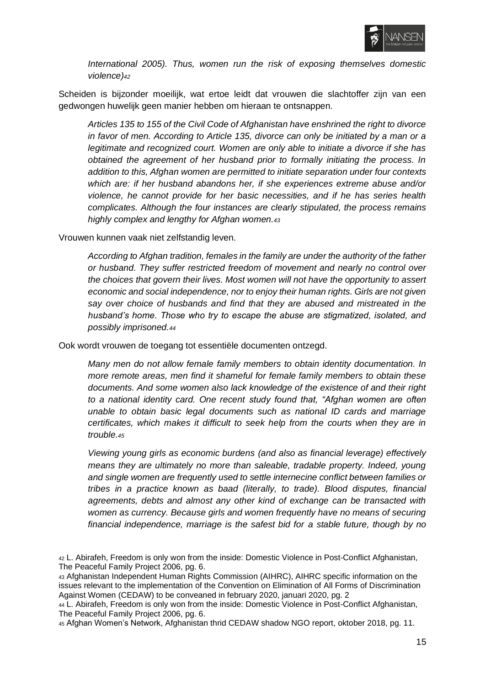

*International 2005). Thus, women run the risk of exposing themselves domestic violence)<sup>42</sup>*

Scheiden is bijzonder moeilijk, wat ertoe leidt dat vrouwen die slachtoffer zijn van een gedwongen huwelijk geen manier hebben om hieraan te ontsnappen.

*Articles 135 to 155 of the Civil Code of Afghanistan have enshrined the right to divorce in favor of men. According to Article 135, divorce can only be initiated by a man or a legitimate and recognized court. Women are only able to initiate a divorce if she has obtained the agreement of her husband prior to formally initiating the process. In addition to this, Afghan women are permitted to initiate separation under four contexts which are: if her husband abandons her, if she experiences extreme abuse and/or violence, he cannot provide for her basic necessities, and if he has series health complicates. Although the four instances are clearly stipulated, the process remains highly complex and lengthy for Afghan women.<sup>43</sup>*

Vrouwen kunnen vaak niet zelfstandig leven.

*According to Afghan tradition, females in the family are under the authority of the father or husband. They suffer restricted freedom of movement and nearly no control over the choices that govern their lives. Most women will not have the opportunity to assert economic and social independence, nor to enjoy their human rights. Girls are not given say over choice of husbands and find that they are abused and mistreated in the husband's home. Those who try to escape the abuse are stigmatized, isolated, and possibly imprisoned.<sup>44</sup>*

Ook wordt vrouwen de toegang tot essentiële documenten ontzegd.

*Many men do not allow female family members to obtain identity documentation. In more remote areas, men find it shameful for female family members to obtain these documents. And some women also lack knowledge of the existence of and their right to a national identity card. One recent study found that, "Afghan women are often unable to obtain basic legal documents such as national ID cards and marriage certificates, which makes it difficult to seek help from the courts when they are in trouble.<sup>45</sup>*

*Viewing young girls as economic burdens (and also as financial leverage) effectively means they are ultimately no more than saleable, tradable property. Indeed, young and single women are frequently used to settle internecine conflict between families or tribes in a practice known as baad (literally, to trade). Blood disputes, financial agreements, debts and almost any other kind of exchange can be transacted with women as currency. Because girls and women frequently have no means of securing financial independence, marriage is the safest bid for a stable future, though by no* 

<sup>45</sup> Afghan Women's Network, Afghanistan thrid CEDAW shadow NGO report, oktober 2018, pg. 11.

<sup>42</sup> L. Abirafeh, Freedom is only won from the inside: Domestic Violence in Post-Conflict Afghanistan, The Peaceful Family Project 2006, pg. 6.

<sup>43</sup> Afghanistan Independent Human Rights Commission (AIHRC), AIHRC specific information on the issues relevant to the implementation of the Convention on Elimination of All Forms of Discrimination Against Women (CEDAW) to be conveaned in february 2020, januari 2020, pg. 2

<sup>44</sup> L. Abirafeh, Freedom is only won from the inside: Domestic Violence in Post-Conflict Afghanistan, The Peaceful Family Project 2006, pg. 6.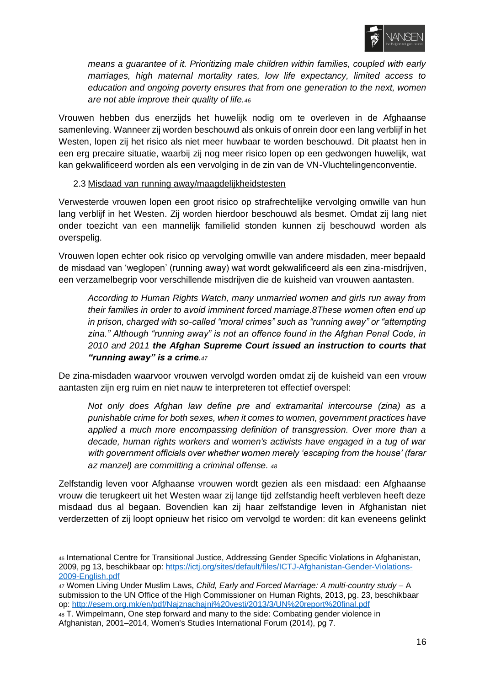

*means a guarantee of it. Prioritizing male children within families, coupled with early marriages, high maternal mortality rates, low life expectancy, limited access to education and ongoing poverty ensures that from one generation to the next, women are not able improve their quality of life.<sup>46</sup>*

Vrouwen hebben dus enerzijds het huwelijk nodig om te overleven in de Afghaanse samenleving. Wanneer zij worden beschouwd als onkuis of onrein door een lang verblijf in het Westen, lopen zij het risico als niet meer huwbaar te worden beschouwd. Dit plaatst hen in een erg precaire situatie, waarbij zij nog meer risico lopen op een gedwongen huwelijk, wat kan gekwalificeerd worden als een vervolging in de zin van de VN-Vluchtelingenconventie.

#### <span id="page-16-0"></span>2.3 Misdaad van running away/maagdelijkheidstesten

Verwesterde vrouwen lopen een groot risico op strafrechtelijke vervolging omwille van hun lang verblijf in het Westen. Zij worden hierdoor beschouwd als besmet. Omdat zij lang niet onder toezicht van een mannelijk familielid stonden kunnen zij beschouwd worden als overspelig.

Vrouwen lopen echter ook risico op vervolging omwille van andere misdaden, meer bepaald de misdaad van 'weglopen' (running away) wat wordt gekwalificeerd als een zina-misdrijven, een verzamelbegrip voor verschillende misdrijven die de kuisheid van vrouwen aantasten.

*According to Human Rights Watch, many unmarried women and girls run away from their families in order to avoid imminent forced marriage.8These women often end up in prison, charged with so-called "moral crimes" such as "running away" or "attempting zina." Although "running away" is not an offence found in the Afghan Penal Code, in 2010 and 2011 the Afghan Supreme Court issued an instruction to courts that "running away" is a crime.<sup>47</sup>*

De zina-misdaden waarvoor vrouwen vervolgd worden omdat zij de kuisheid van een vrouw aantasten zijn erg ruim en niet nauw te interpreteren tot effectief overspel:

*Not only does Afghan law define pre and extramarital intercourse (zina) as a punishable crime for both sexes, when it comes to women, government practices have applied a much more encompassing definition of transgression. Over more than a decade, human rights workers and women's activists have engaged in a tug of war with government officials over whether women merely 'escaping from the house' (farar az manzel) are committing a criminal offense. <sup>48</sup>*

Zelfstandig leven voor Afghaanse vrouwen wordt gezien als een misdaad: een Afghaanse vrouw die terugkeert uit het Westen waar zij lange tijd zelfstandig heeft verbleven heeft deze misdaad dus al begaan. Bovendien kan zij haar zelfstandige leven in Afghanistan niet verderzetten of zij loopt opnieuw het risico om vervolgd te worden: dit kan eveneens gelinkt

<sup>46</sup> International Centre for Transitional Justice, Addressing Gender Specific Violations in Afghanistan, 2009, pg 13, beschikbaar op: [https://ictj.org/sites/default/files/ICTJ-Afghanistan-Gender-Violations-](https://ictj.org/sites/default/files/ICTJ-Afghanistan-Gender-Violations-2009-English.pdf)[2009-English.pdf](https://ictj.org/sites/default/files/ICTJ-Afghanistan-Gender-Violations-2009-English.pdf)

<sup>47</sup> Women Living Under Muslim Laws, *Child, Early and Forced Marriage: A multi-country study* – A submission to the UN Office of the High Commissioner on Human Rights, 2013, pg. 23, beschikbaar op:<http://esem.org.mk/en/pdf/Najznachajni%20vesti/2013/3/UN%20report%20final.pdf>

<sup>48</sup> T. Wimpelmann, One step forward and many to the side: Combating gender violence in Afghanistan, 2001–2014, Women's Studies International Forum (2014), pg 7.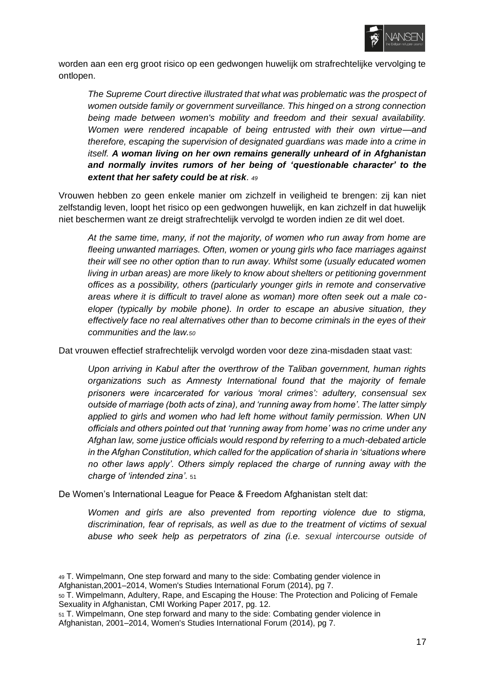

worden aan een erg groot risico op een gedwongen huwelijk om strafrechtelijke vervolging te ontlopen.

*The Supreme Court directive illustrated that what was problematic was the prospect of women outside family or government surveillance. This hinged on a strong connection being made between women's mobility and freedom and their sexual availability. Women were rendered incapable of being entrusted with their own virtue—and therefore, escaping the supervision of designated guardians was made into a crime in itself. A woman living on her own remains generally unheard of in Afghanistan and normally invites rumors of her being of 'questionable character' to the extent that her safety could be at risk. <sup>49</sup>*

Vrouwen hebben zo geen enkele manier om zichzelf in veiligheid te brengen: zij kan niet zelfstandig leven, loopt het risico op een gedwongen huwelijk, en kan zichzelf in dat huwelijk niet beschermen want ze dreigt strafrechtelijk vervolgd te worden indien ze dit wel doet.

*At the same time, many, if not the majority, of women who run away from home are fleeing unwanted marriages. Often, women or young girls who face marriages against their will see no other option than to run away. Whilst some (usually educated women living in urban areas) are more likely to know about shelters or petitioning government offices as a possibility, others (particularly younger girls in remote and conservative areas where it is difficult to travel alone as woman) more often seek out a male coeloper (typically by mobile phone). In order to escape an abusive situation, they effectively face no real alternatives other than to become criminals in the eyes of their communities and the law.<sup>50</sup>*

Dat vrouwen effectief strafrechtelijk vervolgd worden voor deze zina-misdaden staat vast:

*Upon arriving in Kabul after the overthrow of the Taliban government, human rights organizations such as Amnesty International found that the majority of female prisoners were incarcerated for various 'moral crimes': adultery, consensual sex outside of marriage (both acts of zina), and 'running away from home'. The latter simply applied to girls and women who had left home without family permission. When UN officials and others pointed out that 'running away from home' was no crime under any Afghan law, some justice officials would respond by referring to a much-debated article in the Afghan Constitution, which called for the application of sharia in 'situations where no other laws apply'. Others simply replaced the charge of running away with the charge of 'intended zina'.* <sup>51</sup>

De Women's International League for Peace & Freedom Afghanistan stelt dat:

*Women and girls are also prevented from reporting violence due to stigma, discrimination, fear of reprisals, as well as due to the treatment of victims of sexual abuse who seek help as perpetrators of zina (i.e. sexual intercourse outside of* 

<sup>49</sup> T. Wimpelmann, One step forward and many to the side: Combating gender violence in Afghanistan,2001–2014, Women's Studies International Forum (2014), pg 7.

<sup>50</sup> T. Wimpelmann, Adultery, Rape, and Escaping the House: The Protection and Policing of Female Sexuality in Afghanistan, CMI Working Paper 2017, pg. 12.

<sup>51</sup> T. Wimpelmann, One step forward and many to the side: Combating gender violence in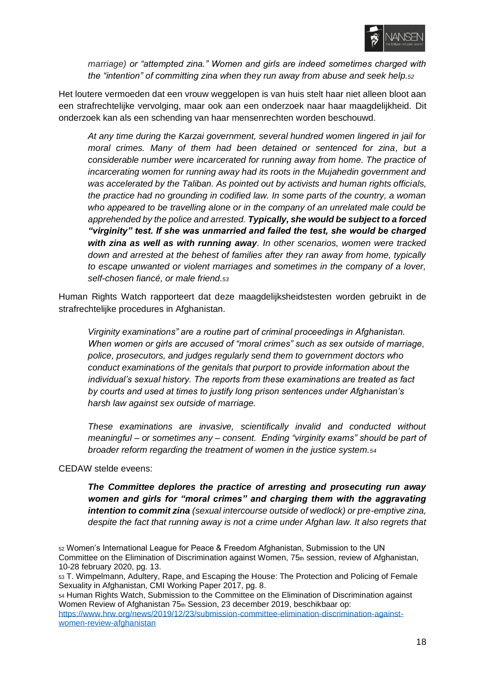

*marriage) or "attempted zina." Women and girls are indeed sometimes charged with the "intention" of committing zina when they run away from abuse and seek help.<sup>52</sup>*

Het loutere vermoeden dat een vrouw weggelopen is van huis stelt haar niet alleen bloot aan een strafrechtelijke vervolging, maar ook aan een onderzoek naar haar maagdelijkheid. Dit onderzoek kan als een schending van haar mensenrechten worden beschouwd.

*At any time during the Karzai government, several hundred women lingered in jail for moral crimes. Many of them had been detained or sentenced for zina, but a considerable number were incarcerated for running away from home. The practice of incarcerating women for running away had its roots in the Mujahedin government and was accelerated by the Taliban. As pointed out by activists and human rights officials, the practice had no grounding in codified law. In some parts of the country, a woman who appeared to be travelling alone or in the company of an unrelated male could be apprehended by the police and arrested. Typically, she would be subject to a forced "virginity" test. If she was unmarried and failed the test, she would be charged with zina as well as with running away. In other scenarios, women were tracked down and arrested at the behest of families after they ran away from home, typically to escape unwanted or violent marriages and sometimes in the company of a lover, self-chosen fiancé, or male friend.<sup>53</sup>*

Human Rights Watch rapporteert dat deze maagdelijksheidstesten worden gebruikt in de strafrechtelijke procedures in Afghanistan.

*Virginity examinations" are a routine part of criminal proceedings in Afghanistan. When women or girls are accused of "moral crimes" such as sex outside of marriage, police, prosecutors, and judges regularly send them to government doctors who conduct examinations of the genitals that purport to provide information about the individual's sexual history. The reports from these examinations are treated as fact by courts and used at times to justify long prison sentences under Afghanistan's harsh law against sex outside of marriage.*

*These examinations are invasive, scientifically invalid and conducted without meaningful – or sometimes any – consent. Ending "virginity exams" should be part of broader reform regarding the treatment of women in the justice system.<sup>54</sup>*

#### CEDAW stelde eveens:

*The Committee deplores the practice of arresting and prosecuting run away women and girls for "moral crimes" and charging them with the aggravating intention to commit zina (sexual intercourse outside of wedlock) or pre-emptive zina, despite the fact that running away is not a crime under Afghan law. It also regrets that* 

<sup>52</sup> Women's International League for Peace & Freedom Afghanistan, Submission to the UN Committee on the Elimination of Discrimination against Women, 75th session, review of Afghanistan, 10-28 february 2020, pg. 13.

<sup>53</sup> T. Wimpelmann, Adultery, Rape, and Escaping the House: The Protection and Policing of Female Sexuality in Afghanistan, CMI Working Paper 2017, pg. 8.

<sup>54</sup> Human Rights Watch, Submission to the Committee on the Elimination of Discrimination against Women Review of Afghanistan 75th Session, 23 december 2019, beschikbaar op: [https://www.hrw.org/news/2019/12/23/submission-committee-elimination-discrimination-against](https://www.hrw.org/news/2019/12/23/submission-committee-elimination-discrimination-against-women-review-afghanistan)[women-review-afghanistan](https://www.hrw.org/news/2019/12/23/submission-committee-elimination-discrimination-against-women-review-afghanistan)